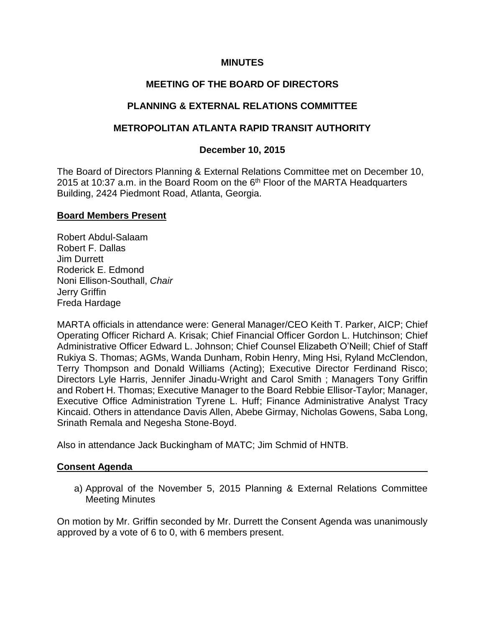## **MINUTES**

# **MEETING OF THE BOARD OF DIRECTORS**

# **PLANNING & EXTERNAL RELATIONS COMMITTEE**

## **METROPOLITAN ATLANTA RAPID TRANSIT AUTHORITY**

## **December 10, 2015**

The Board of Directors Planning & External Relations Committee met on December 10, 2015 at 10:37 a.m. in the Board Room on the  $6<sup>th</sup>$  Floor of the MARTA Headquarters Building, 2424 Piedmont Road, Atlanta, Georgia.

## **Board Members Present**

Robert Abdul-Salaam Robert F. Dallas Jim Durrett Roderick E. Edmond Noni Ellison-Southall, *Chair* Jerry Griffin Freda Hardage

MARTA officials in attendance were: General Manager/CEO Keith T. Parker, AICP; Chief Operating Officer Richard A. Krisak; Chief Financial Officer Gordon L. Hutchinson; Chief Administrative Officer Edward L. Johnson; Chief Counsel Elizabeth O'Neill; Chief of Staff Rukiya S. Thomas; AGMs, Wanda Dunham, Robin Henry, Ming Hsi, Ryland McClendon, Terry Thompson and Donald Williams (Acting); Executive Director Ferdinand Risco; Directors Lyle Harris, Jennifer Jinadu-Wright and Carol Smith ; Managers Tony Griffin and Robert H. Thomas; Executive Manager to the Board Rebbie Ellisor-Taylor; Manager, Executive Office Administration Tyrene L. Huff; Finance Administrative Analyst Tracy Kincaid. Others in attendance Davis Allen, Abebe Girmay, Nicholas Gowens, Saba Long, Srinath Remala and Negesha Stone-Boyd.

Also in attendance Jack Buckingham of MATC; Jim Schmid of HNTB.

## **Consent Agenda**

a) Approval of the November 5, 2015 Planning & External Relations Committee Meeting Minutes

On motion by Mr. Griffin seconded by Mr. Durrett the Consent Agenda was unanimously approved by a vote of 6 to 0, with 6 members present.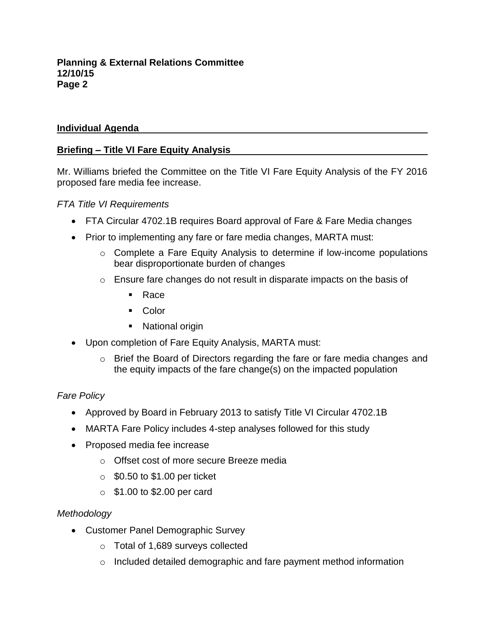## **Individual Agenda**

## **Briefing – Title VI Fare Equity Analysis**

Mr. Williams briefed the Committee on the Title VI Fare Equity Analysis of the FY 2016 proposed fare media fee increase.

## *FTA Title VI Requirements*

- FTA Circular 4702.1B requires Board approval of Fare & Fare Media changes
- Prior to implementing any fare or fare media changes, MARTA must:
	- o Complete a Fare Equity Analysis to determine if low-income populations bear disproportionate burden of changes
	- o Ensure fare changes do not result in disparate impacts on the basis of
		- Race
		- Color
		- National origin
- Upon completion of Fare Equity Analysis, MARTA must:
	- o Brief the Board of Directors regarding the fare or fare media changes and the equity impacts of the fare change(s) on the impacted population

# *Fare Policy*

- Approved by Board in February 2013 to satisfy Title VI Circular 4702.1B
- MARTA Fare Policy includes 4-step analyses followed for this study
- Proposed media fee increase
	- o Offset cost of more secure Breeze media
	- $\circ$  \$0.50 to \$1.00 per ticket
	- $\circ$  \$1.00 to \$2.00 per card

## *Methodology*

- Customer Panel Demographic Survey
	- o Total of 1,689 surveys collected
	- o Included detailed demographic and fare payment method information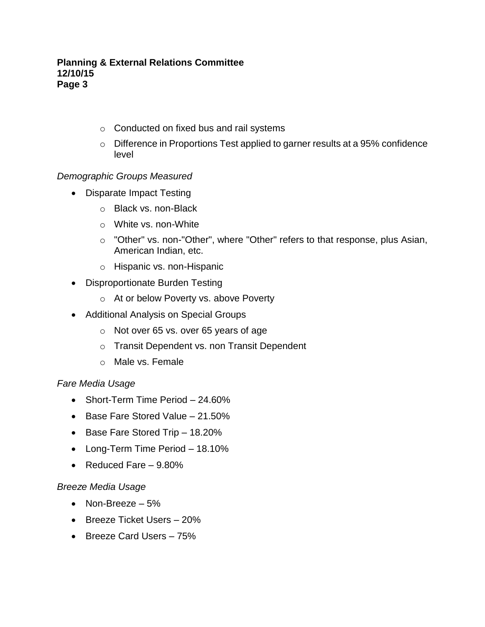- o Conducted on fixed bus and rail systems
- o Difference in Proportions Test applied to garner results at a 95% confidence level

## *Demographic Groups Measured*

- Disparate Impact Testing
	- o Black vs. non-Black
	- o White vs. non-White
	- o "Other" vs. non-"Other", where "Other" refers to that response, plus Asian, American Indian, etc.
	- o Hispanic vs. non-Hispanic
- Disproportionate Burden Testing
	- o At or below Poverty vs. above Poverty
- Additional Analysis on Special Groups
	- o Not over 65 vs. over 65 years of age
	- o Transit Dependent vs. non Transit Dependent
	- o Male vs. Female

## *Fare Media Usage*

- Short-Term Time Period 24.60%
- $\bullet$  Base Fare Stored Value 21.50%
- Base Fare Stored Trip 18.20%
- Long-Term Time Period 18.10%
- Reduced Fare 9.80%

## *Breeze Media Usage*

- Non-Breeze  $-5%$
- Breeze Ticket Users 20%
- Breeze Card Users 75%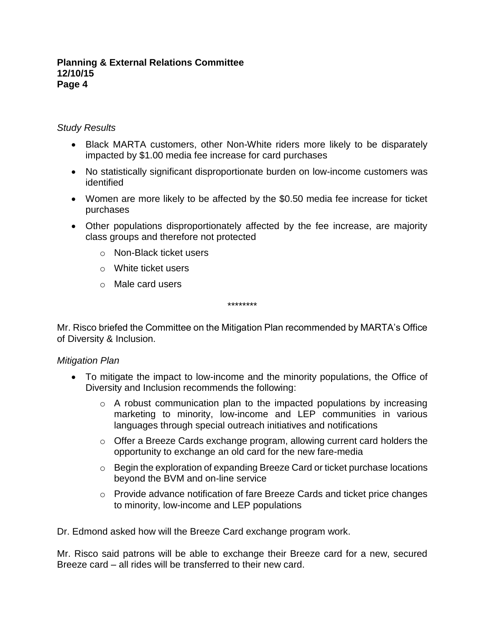## *Study Results*

- Black MARTA customers, other Non-White riders more likely to be disparately impacted by \$1.00 media fee increase for card purchases
- No statistically significant disproportionate burden on low-income customers was identified
- Women are more likely to be affected by the \$0.50 media fee increase for ticket purchases
- Other populations disproportionately affected by the fee increase, are majority class groups and therefore not protected
	- o Non-Black ticket users
	- o White ticket users
	- o Male card users

\*\*\*\*\*\*\*\*

Mr. Risco briefed the Committee on the Mitigation Plan recommended by MARTA's Office of Diversity & Inclusion.

## *Mitigation Plan*

- To mitigate the impact to low-income and the minority populations, the Office of Diversity and Inclusion recommends the following:
	- o A robust communication plan to the impacted populations by increasing marketing to minority, low-income and LEP communities in various languages through special outreach initiatives and notifications
	- o Offer a Breeze Cards exchange program, allowing current card holders the opportunity to exchange an old card for the new fare-media
	- $\circ$  Begin the exploration of expanding Breeze Card or ticket purchase locations beyond the BVM and on-line service
	- o Provide advance notification of fare Breeze Cards and ticket price changes to minority, low-income and LEP populations

Dr. Edmond asked how will the Breeze Card exchange program work.

Mr. Risco said patrons will be able to exchange their Breeze card for a new, secured Breeze card – all rides will be transferred to their new card.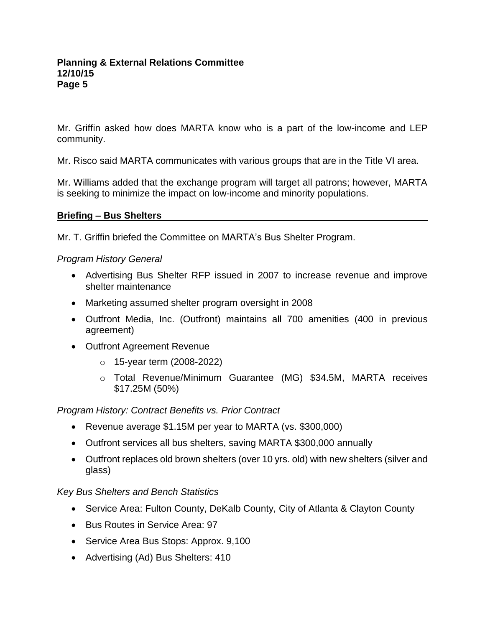Mr. Griffin asked how does MARTA know who is a part of the low-income and LEP community.

Mr. Risco said MARTA communicates with various groups that are in the Title VI area.

Mr. Williams added that the exchange program will target all patrons; however, MARTA is seeking to minimize the impact on low-income and minority populations.

## **Briefing – Bus Shelters**

Mr. T. Griffin briefed the Committee on MARTA's Bus Shelter Program.

## *Program History General*

- Advertising Bus Shelter RFP issued in 2007 to increase revenue and improve shelter maintenance
- Marketing assumed shelter program oversight in 2008
- Outfront Media, Inc. (Outfront) maintains all 700 amenities (400 in previous agreement)
- Outfront Agreement Revenue
	- o 15-year term (2008-2022)
	- o Total Revenue/Minimum Guarantee (MG) \$34.5M, MARTA receives \$17.25M (50%)

## *Program History: Contract Benefits vs. Prior Contract*

- Revenue average \$1.15M per year to MARTA (vs. \$300,000)
- Outfront services all bus shelters, saving MARTA \$300,000 annually
- Outfront replaces old brown shelters (over 10 yrs. old) with new shelters (silver and glass)

## *Key Bus Shelters and Bench Statistics*

- Service Area: Fulton County, DeKalb County, City of Atlanta & Clayton County
- Bus Routes in Service Area: 97
- Service Area Bus Stops: Approx. 9,100
- Advertising (Ad) Bus Shelters: 410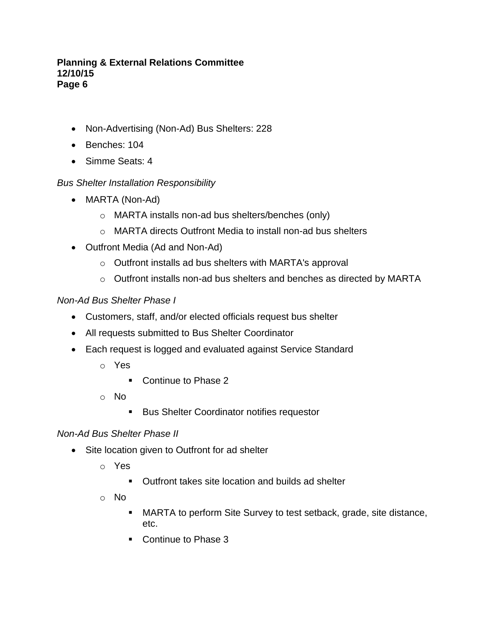- Non-Advertising (Non-Ad) Bus Shelters: 228
- Benches: 104
- Simme Seats: 4

# *Bus Shelter Installation Responsibility*

- MARTA (Non-Ad)
	- o MARTA installs non-ad bus shelters/benches (only)
	- o MARTA directs Outfront Media to install non-ad bus shelters
- Outfront Media (Ad and Non-Ad)
	- o Outfront installs ad bus shelters with MARTA's approval
	- o Outfront installs non-ad bus shelters and benches as directed by MARTA

# *Non-Ad Bus Shelter Phase I*

- Customers, staff, and/or elected officials request bus shelter
- All requests submitted to Bus Shelter Coordinator
- Each request is logged and evaluated against Service Standard
	- o Yes
		- Continue to Phase 2
	- o No
		- **Bus Shelter Coordinator notifies requestor**

## *Non-Ad Bus Shelter Phase II*

- Site location given to Outfront for ad shelter
	- o Yes
		- Outfront takes site location and builds ad shelter
	- o No
		- MARTA to perform Site Survey to test setback, grade, site distance, etc.
		- Continue to Phase 3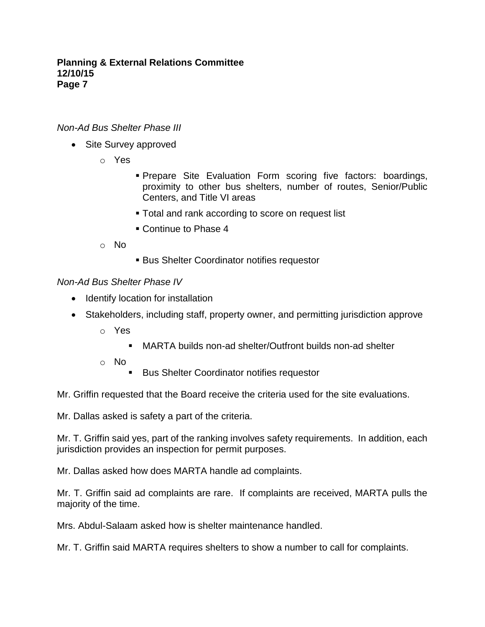## *Non-Ad Bus Shelter Phase III*

- Site Survey approved
	- o Yes
- **Prepare Site Evaluation Form scoring five factors: boardings,** proximity to other bus shelters, number of routes, Senior/Public Centers, and Title VI areas
- **Total and rank according to score on request list**
- Continue to Phase 4
- o No
- **Bus Shelter Coordinator notifies requestor**

## *Non-Ad Bus Shelter Phase IV*

- Identify location for installation
- Stakeholders, including staff, property owner, and permitting jurisdiction approve
	- o Yes
		- MARTA builds non-ad shelter/Outfront builds non-ad shelter
	- o No
		- Bus Shelter Coordinator notifies requestor

Mr. Griffin requested that the Board receive the criteria used for the site evaluations.

Mr. Dallas asked is safety a part of the criteria.

Mr. T. Griffin said yes, part of the ranking involves safety requirements. In addition, each jurisdiction provides an inspection for permit purposes.

Mr. Dallas asked how does MARTA handle ad complaints.

Mr. T. Griffin said ad complaints are rare. If complaints are received, MARTA pulls the majority of the time.

Mrs. Abdul-Salaam asked how is shelter maintenance handled.

Mr. T. Griffin said MARTA requires shelters to show a number to call for complaints.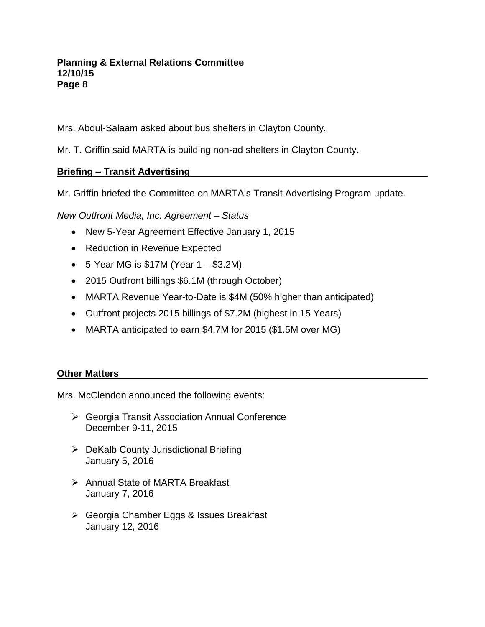Mrs. Abdul-Salaam asked about bus shelters in Clayton County.

Mr. T. Griffin said MARTA is building non-ad shelters in Clayton County.

# **Briefing – Transit Advertising**

Mr. Griffin briefed the Committee on MARTA's Transit Advertising Program update.

*New Outfront Media, Inc. Agreement – Status*

- New 5-Year Agreement Effective January 1, 2015
- Reduction in Revenue Expected
- 5-Year MG is  $$17M$  (Year  $1 $3.2M$ )
- 2015 Outfront billings \$6.1M (through October)
- MARTA Revenue Year-to-Date is \$4M (50% higher than anticipated)
- Outfront projects 2015 billings of \$7.2M (highest in 15 Years)
- MARTA anticipated to earn \$4.7M for 2015 (\$1.5M over MG)

# **Other Matters**

Mrs. McClendon announced the following events:

- Georgia Transit Association Annual Conference December 9-11, 2015
- $\triangleright$  DeKalb County Jurisdictional Briefing January 5, 2016
- **▶ Annual State of MARTA Breakfast** January 7, 2016
- Georgia Chamber Eggs & Issues Breakfast January 12, 2016